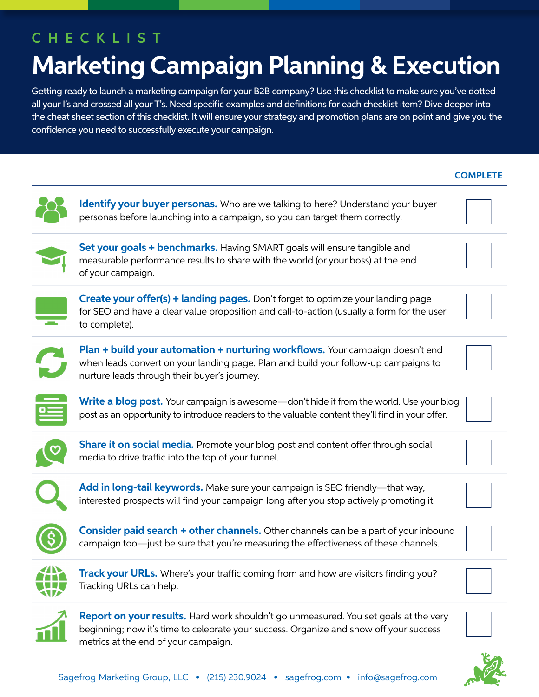## CHECKLIST

# **Marketing Campaign Planning & Execution**

Getting ready to launch a marketing campaign for your B2B company? Use this checklist to make sure you've dotted all your I's and crossed all your T's. Need specific examples and definitions for each checklist item? Dive deeper into the cheat sheet section of this checklist. It will ensure your strategy and promotion plans are on point and give you the confidence you need to successfully execute your campaign.

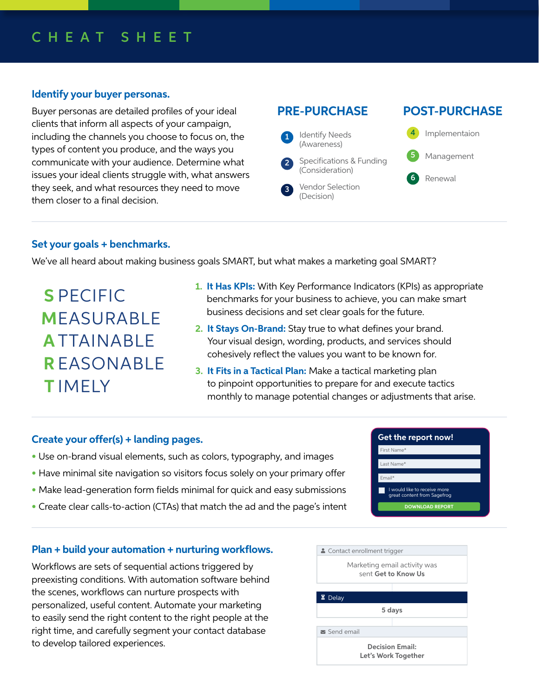### CHEAT SHEET

### **Identify your buyer personas.**

Buyer personas are detailed profiles of your ideal clients that inform all aspects of your campaign, including the channels you choose to focus on, the types of content you produce, and the ways you communicate with your audience. Determine what issues your ideal clients struggle with, what answers they seek, and what resources they need to move them closer to a final decision.

#### **PRE-PURCHASE** Identify Needs (Awareness) Specifications & Funding (Consideration) 1 2 **POST-PURCHASE** Implementaion Management Renewal 4 5 6

### **Set your goals + benchmarks.**

We've all heard about making business goals SMART, but what makes a marketing goal SMART?

**S** PECIFIC **M** EASURABLE **A** TTAINABLE **R** EASONABLE **T** IMELY

**1. It Has KPIs:** With Key Performance Indicators (KPIs) as appropriate benchmarks for your business to achieve, you can make smart business decisions and set clear goals for the future.

Vendor Selection (Decision)

3

- **2. It Stays On-Brand:** Stay true to what defines your brand. Your visual design, wording, products, and services should cohesively reflect the values you want to be known for.
- **3. It Fits in a Tactical Plan:** Make a tactical marketing plan to pinpoint opportunities to prepare for and execute tactics monthly to manage potential changes or adjustments that arise.

### **Create your offer(s) + landing pages.**

- Use on-brand visual elements, such as colors, typography, and images
- Have minimal site navigation so visitors focus solely on your primary offer
- Make lead-generation form fields minimal for quick and easy submissions
- Create clear calls-to-action (CTAs) that match the ad and the page's intent

| Get the report now!                                         |  |
|-------------------------------------------------------------|--|
| First Name*                                                 |  |
| l ast Name*                                                 |  |
| Fmail*                                                      |  |
| I would like to receive more<br>great content from Sagefrog |  |
| <b>DOWNLOAD REPORT</b>                                      |  |

### **Plan + build your automation + nurturing workflows.**

Workflows are sets of sequential actions triggered by preexisting conditions. With automation software behind the scenes, workflows can nurture prospects with personalized, useful content. Automate your marketing to easily send the right content to the right people at the right time, and carefully segment your contact database to develop tailored experiences.

| • Contact enrollment trigger                        |
|-----------------------------------------------------|
| Marketing email activity was<br>sent Get to Know Us |
| $\Xi$ Delay                                         |
| 5 days                                              |
| Send email                                          |
| <b>Decision Email:</b><br>Let's Work Together       |